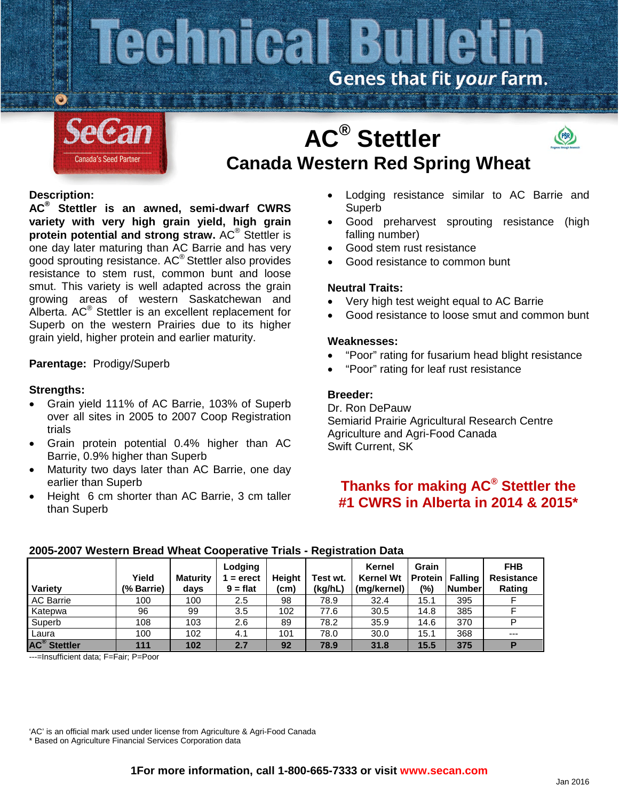## Technical Bulletin Genes that fit your farm.



# **AC® Stettler Canada Western Red Spring Wheat**



**AC® Stettler is an awned, semi-dwarf CWRS variety with very high grain yield, high grain protein potential and strong straw.** AC® Stettler is one day later maturing than AC Barrie and has very good sprouting resistance. AC® Stettler also provides resistance to stem rust, common bunt and loose smut. This variety is well adapted across the grain growing areas of western Saskatchewan and Alberta. AC® Stettler is an excellent replacement for Superb on the western Prairies due to its higher grain yield, higher protein and earlier maturity.

## **Parentage:** Prodigy/Superb

## **Strengths:**

- Grain yield 111% of AC Barrie, 103% of Superb over all sites in 2005 to 2007 Coop Registration trials
- Grain protein potential 0.4% higher than AC Barrie, 0.9% higher than Superb
- Maturity two days later than AC Barrie, one day earlier than Superb
- Height 6 cm shorter than AC Barrie, 3 cm taller than Superb

• Lodging resistance similar to AC Barrie and Superb

(PBR)

- Good preharvest sprouting resistance (high falling number)
- Good stem rust resistance
- Good resistance to common bunt

## **Neutral Traits:**

- Very high test weight equal to AC Barrie
- Good resistance to loose smut and common bunt

## **Weaknesses:**

- "Poor" rating for fusarium head blight resistance
- "Poor" rating for leaf rust resistance

## **Breeder:**

Dr. Ron DePauw Semiarid Prairie Agricultural Research Centre Agriculture and Agri-Food Canada Swift Current, SK

## **Thanks for making AC® Stettler the #1 CWRS in Alberta in 2014 & 2015\***

#### **Variety Yield (% Barrie) Maturity days Lodging 1 = erect 9 = flat Height (cm) Test wt. (kg/hL) Kernel Kernel Wt (mg/kernel) Grain Protein (%) Falling Number FHB Resistance Rating** AC Barrie 100 100 2.5 98 78.9 32.4 15.1 395 F Katepwa 96 99 3.5 102 77.6 30.5 14.8 385 F Superb | 108 | 103 | 2.6 | 89 | 78.2 | 35.9 | 14.6 | 370 | P Laura 100 102 4.1 101 78.0 30.0 15.1 368 --- **AC® Stettler 111 102 2.7 92 78.9 31.8 15.5 375 P**

## **2005-2007 Western Bread Wheat Cooperative Trials - Registration Data**

---=Insufficient data; F=Fair; P=Poor

'AC' is an official mark used under license from Agriculture & Agri-Food Canada

\* Based on Agriculture Financial Services Corporation data